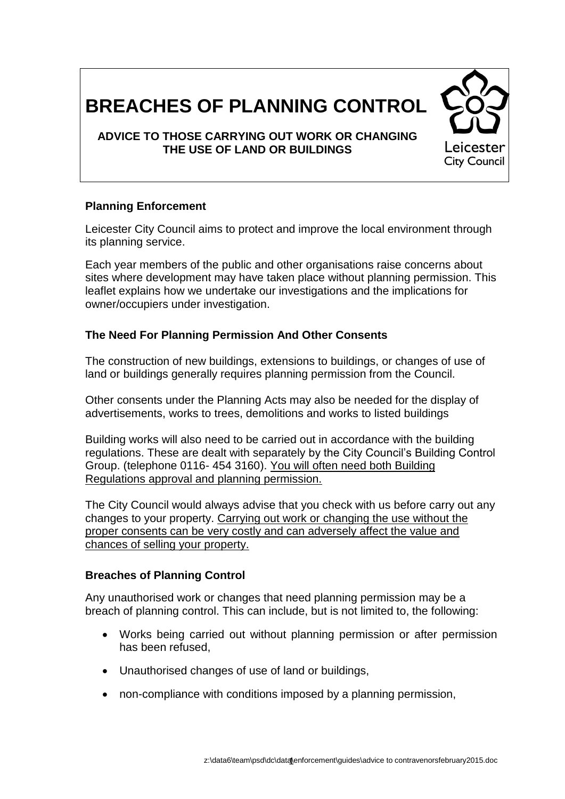# **BREACHES OF PLANNING CONTROL**

## **ADVICE TO THOSE CARRYING OUT WORK OR CHANGING THE USE OF LAND OR BUILDINGS**

## **Planning Enforcement**

Leicester City Council aims to protect and improve the local environment through its planning service.

Each year members of the public and other organisations raise concerns about sites where development may have taken place without planning permission. This leaflet explains how we undertake our investigations and the implications for owner/occupiers under investigation.

#### **The Need For Planning Permission And Other Consents**

The construction of new buildings, extensions to buildings, or changes of use of land or buildings generally requires planning permission from the Council.

Other consents under the Planning Acts may also be needed for the display of advertisements, works to trees, demolitions and works to listed buildings

Building works will also need to be carried out in accordance with the building regulations. These are dealt with separately by the City Council's Building Control Group. (telephone 0116- 454 3160). You will often need both Building Regulations approval and planning permission.

The City Council would always advise that you check with us before carry out any changes to your property. Carrying out work or changing the use without the proper consents can be very costly and can adversely affect the value and chances of selling your property.

#### **Breaches of Planning Control**

Any unauthorised work or changes that need planning permission may be a breach of planning control. This can include, but is not limited to, the following:

- Works being carried out without planning permission or after permission has been refused,
- Unauthorised changes of use of land or buildings,
- non-compliance with conditions imposed by a planning permission,

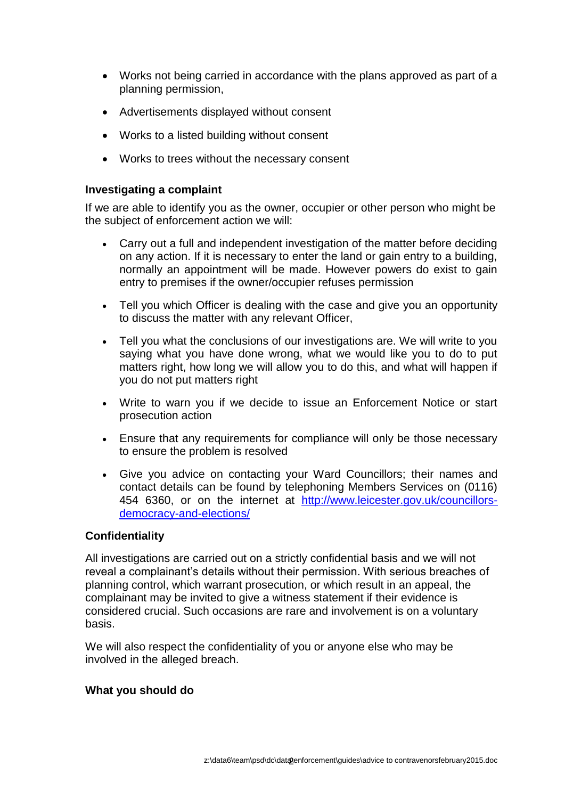- Works not being carried in accordance with the plans approved as part of a planning permission,
- Advertisements displayed without consent
- Works to a listed building without consent
- Works to trees without the necessary consent

#### **Investigating a complaint**

If we are able to identify you as the owner, occupier or other person who might be the subject of enforcement action we will:

- Carry out a full and independent investigation of the matter before deciding on any action. If it is necessary to enter the land or gain entry to a building, normally an appointment will be made. However powers do exist to gain entry to premises if the owner/occupier refuses permission
- Tell you which Officer is dealing with the case and give you an opportunity to discuss the matter with any relevant Officer,
- Tell you what the conclusions of our investigations are. We will write to you saying what you have done wrong, what we would like you to do to put matters right, how long we will allow you to do this, and what will happen if you do not put matters right
- Write to warn you if we decide to issue an Enforcement Notice or start prosecution action
- Ensure that any requirements for compliance will only be those necessary to ensure the problem is resolved
- Give you advice on contacting your Ward Councillors; their names and contact details can be found by telephoning Members Services on (0116) 454 6360, or on the internet at [http://www.leicester.gov.uk/councillors](http://www.leicester.gov.uk/councillors-democracy-and-elections/)[democracy-and-elections/](http://www.leicester.gov.uk/councillors-democracy-and-elections/)

#### **Confidentiality**

All investigations are carried out on a strictly confidential basis and we will not reveal a complainant's details without their permission. With serious breaches of planning control, which warrant prosecution, or which result in an appeal, the complainant may be invited to give a witness statement if their evidence is considered crucial. Such occasions are rare and involvement is on a voluntary basis.

We will also respect the confidentiality of you or anyone else who may be involved in the alleged breach.

#### **What you should do**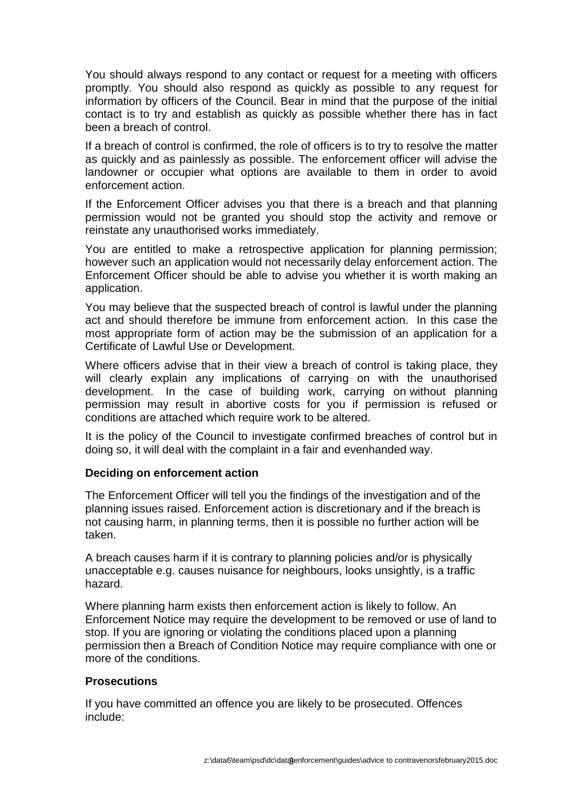You should always respond to any contact or request for a meeting with officers promptly. You should also respond as quickly as possible to any request for information by officers of the Council. Bear in mind that the purpose of the initial contact is to try and establish as quickly as possible whether there has in fact been a breach of control.

If a breach of control is confirmed, the role of officers is to try to resolve the matter as quickly and as painlessly as possible. The enforcement officer will advise the landowner or occupier what options are available to them in order to avoid enforcement action.

If the Enforcement Officer advises you that there is a breach and that planning permission would not be granted you should stop the activity and remove or reinstate any unauthorised works immediately.

You are entitled to make a retrospective application for planning permission; however such an application would not necessarily delay enforcement action. The Enforcement Officer should be able to advise you whether it is worth making an application.

You may believe that the suspected breach of control is lawful under the planning act and should therefore be immune from enforcement action. In this case the most appropriate form of action may be the submission of an application for a Certificate of Lawful Use or Development.

Where officers advise that in their view a breach of control is taking place, they will clearly explain any implications of carrying on with the unauthorised development. In the case of building work, carrying on without planning permission may result in abortive costs for you if permission is refused or conditions are attached which require work to be altered.

It is the policy of the Council to investigate confirmed breaches of control but in doing so, it will deal with the complaint in a fair and evenhanded way.

## **Deciding on enforcement action**

The Enforcement Officer will tell you the findings of the investigation and of the planning issues raised. Enforcement action is discretionary and if the breach is not causing harm, in planning terms, then it is possible no further action will be taken.

A breach causes harm if it is contrary to planning policies and/or is physically unacceptable e.g. causes nuisance for neighbours, looks unsightly, is a traffic hazard.

Where planning harm exists then enforcement action is likely to follow. An Enforcement Notice may require the development to be removed or use of land to stop. If you are ignoring or violating the conditions placed upon a planning permission then a Breach of Condition Notice may require compliance with one or more of the conditions.

## **Prosecutions**

If you have committed an offence you are likely to be prosecuted. Offences include: